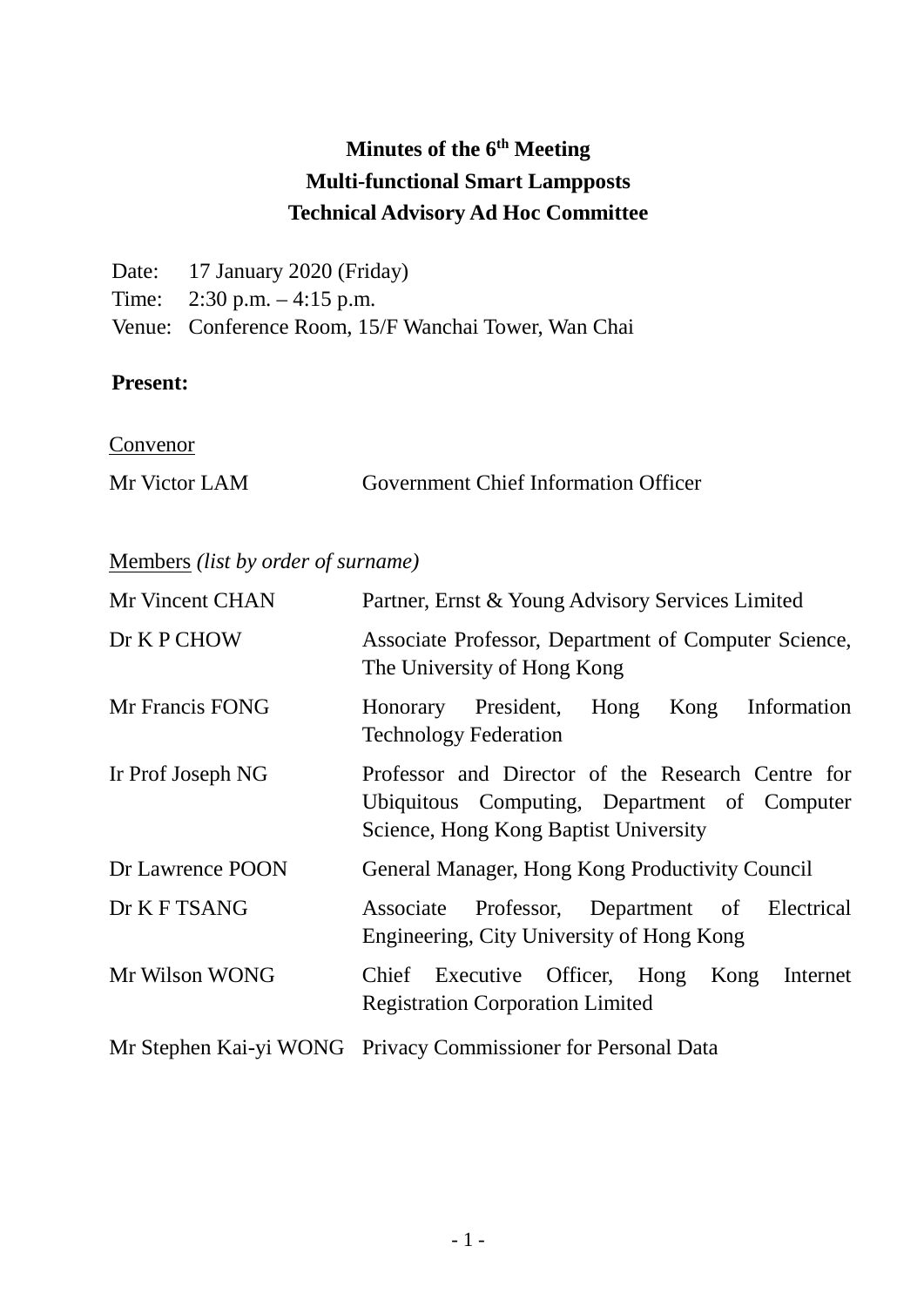# **Minutes of the 6th Meeting Multi-functional Smart Lampposts Technical Advisory Ad Hoc Committee**

| Date: 17 January 2020 (Friday)                       |
|------------------------------------------------------|
| Time: $2:30 \text{ p.m.} - 4:15 \text{ p.m.}$        |
| Venue: Conference Room, 15/F Wanchai Tower, Wan Chai |

#### **Present:**

**Convenor** 

| Mr Victor LAM | <b>Government Chief Information Officer</b> |  |
|---------------|---------------------------------------------|--|
|               |                                             |  |

## Members *(list by order of surname)*

| Mr Vincent CHAN   | Partner, Ernst & Young Advisory Services Limited                                                                                           |
|-------------------|--------------------------------------------------------------------------------------------------------------------------------------------|
| Dr K P CHOW       | Associate Professor, Department of Computer Science,<br>The University of Hong Kong                                                        |
| Mr Francis FONG   | Honorary President, Hong<br>Information<br>Kong<br><b>Technology Federation</b>                                                            |
| Ir Prof Joseph NG | Professor and Director of the Research Centre for<br>Ubiquitous Computing, Department of Computer<br>Science, Hong Kong Baptist University |
| Dr Lawrence POON  | General Manager, Hong Kong Productivity Council                                                                                            |
| Dr K F TSANG      | Associate Professor, Department of<br>Electrical<br>Engineering, City University of Hong Kong                                              |
| Mr Wilson WONG    | Chief Executive Officer, Hong Kong Internet<br><b>Registration Corporation Limited</b>                                                     |
|                   | Mr Stephen Kai-yi WONG Privacy Commissioner for Personal Data                                                                              |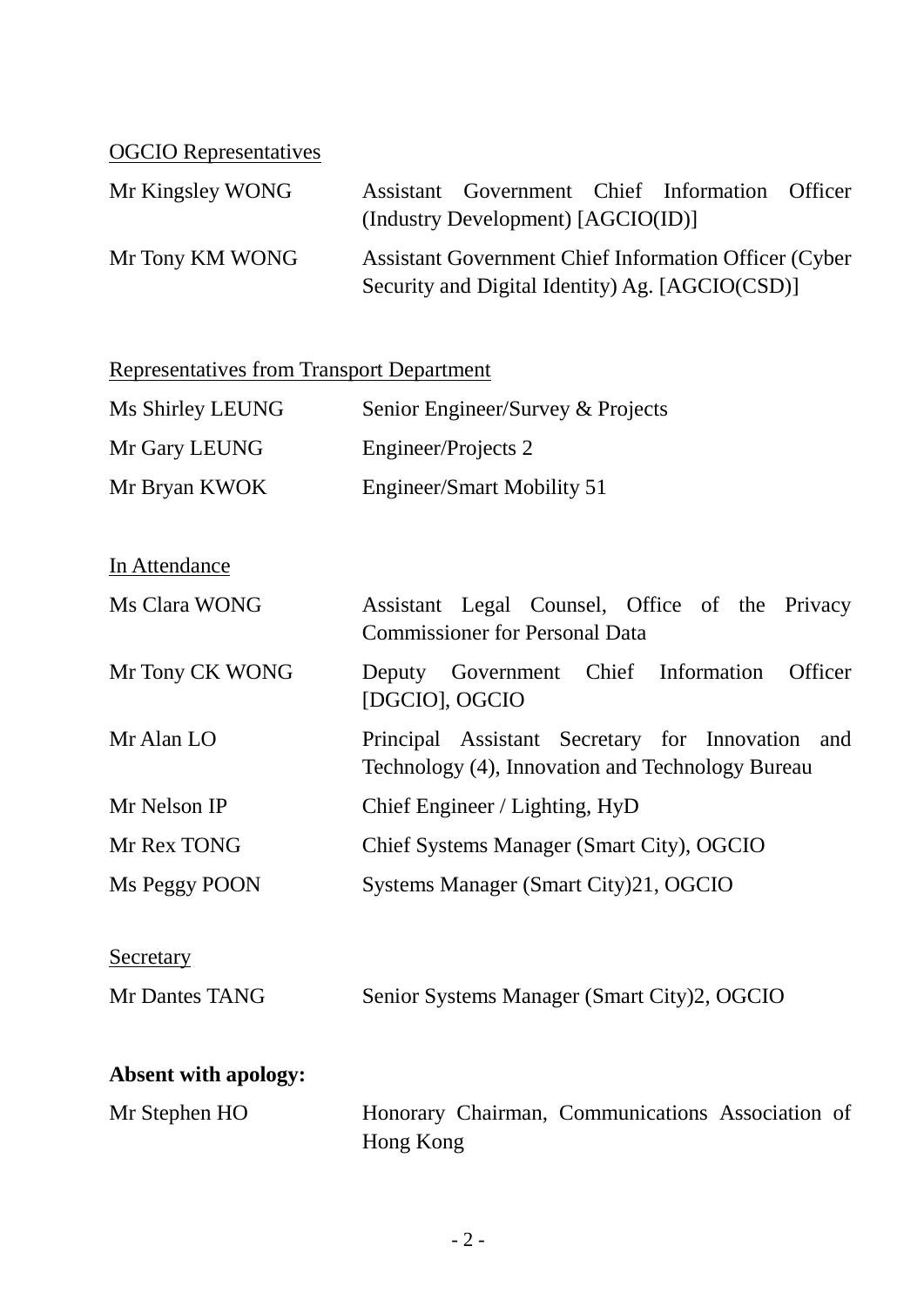# OGCIO Representatives

| Mr Kingsley WONG | Assistant Government Chief Information Officer                |  |  |
|------------------|---------------------------------------------------------------|--|--|
|                  | (Industry Development) [AGCIO(ID)]                            |  |  |
| Mr Tony KM WONG  | <b>Assistant Government Chief Information Officer (Cyber)</b> |  |  |
|                  | Security and Digital Identity) Ag. [AGCIO(CSD)]               |  |  |

| <b>Representatives from Transport Department</b> |                                                                                                      |  |  |
|--------------------------------------------------|------------------------------------------------------------------------------------------------------|--|--|
| Ms Shirley LEUNG                                 | Senior Engineer/Survey & Projects                                                                    |  |  |
| Mr Gary LEUNG                                    | Engineer/Projects 2                                                                                  |  |  |
| Mr Bryan KWOK                                    | <b>Engineer/Smart Mobility 51</b>                                                                    |  |  |
| In Attendance                                    |                                                                                                      |  |  |
| Ms Clara WONG                                    | Assistant Legal Counsel, Office of the Privacy<br><b>Commissioner for Personal Data</b>              |  |  |
| Mr Tony CK WONG                                  | Deputy Government Chief Information<br>Officer<br>[DGCIO], OGCIO                                     |  |  |
| Mr Alan LO                                       | Principal Assistant Secretary for Innovation and<br>Technology (4), Innovation and Technology Bureau |  |  |
| Mr Nelson IP                                     | Chief Engineer / Lighting, HyD                                                                       |  |  |
| Mr Rex TONG                                      | Chief Systems Manager (Smart City), OGCIO                                                            |  |  |
| Ms Peggy POON                                    | Systems Manager (Smart City)21, OGCIO                                                                |  |  |
| Secretary                                        |                                                                                                      |  |  |
| Mr Dantes TANG                                   | Senior Systems Manager (Smart City)2, OGCIO                                                          |  |  |
| <b>Absent with apology:</b>                      |                                                                                                      |  |  |
| Mr Stephen HO                                    | Honorary Chairman, Communications Association of<br>Hong Kong                                        |  |  |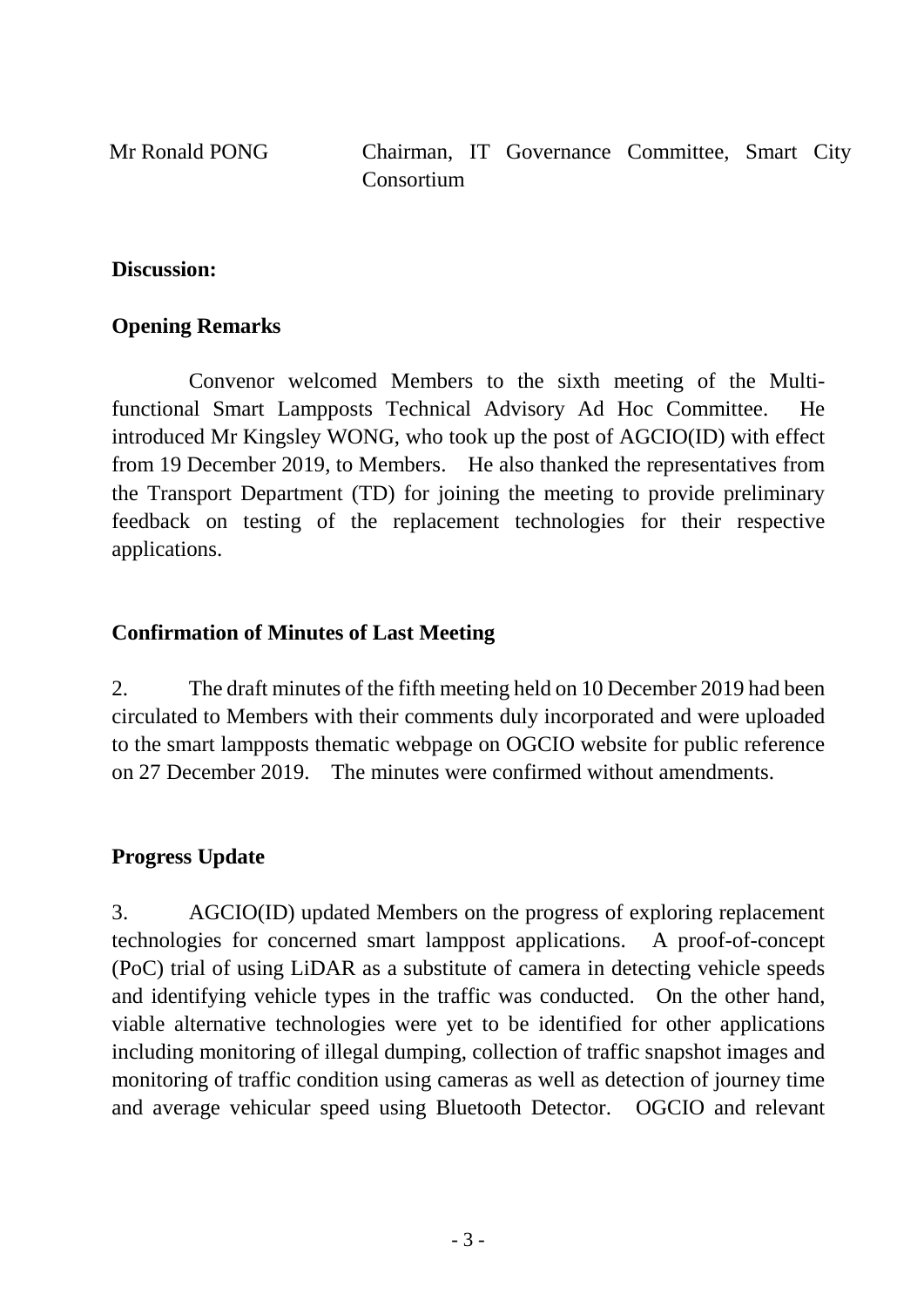Mr Ronald PONG Chairman, IT Governance Committee, Smart City Consortium

#### **Discussion:**

#### **Opening Remarks**

Convenor welcomed Members to the sixth meeting of the Multifunctional Smart Lampposts Technical Advisory Ad Hoc Committee. He introduced Mr Kingsley WONG, who took up the post of AGCIO(ID) with effect from 19 December 2019, to Members. He also thanked the representatives from the Transport Department (TD) for joining the meeting to provide preliminary feedback on testing of the replacement technologies for their respective applications.

#### **Confirmation of Minutes of Last Meeting**

2. The draft minutes of the fifth meeting held on 10 December 2019 had been circulated to Members with their comments duly incorporated and were uploaded to the smart lampposts thematic webpage on OGCIO website for public reference on 27 December 2019. The minutes were confirmed without amendments.

#### **Progress Update**

3. AGCIO(ID) updated Members on the progress of exploring replacement technologies for concerned smart lamppost applications. A proof-of-concept (PoC) trial of using LiDAR as a substitute of camera in detecting vehicle speeds and identifying vehicle types in the traffic was conducted. On the other hand, viable alternative technologies were yet to be identified for other applications including monitoring of illegal dumping, collection of traffic snapshot images and monitoring of traffic condition using cameras as well as detection of journey time and average vehicular speed using Bluetooth Detector. OGCIO and relevant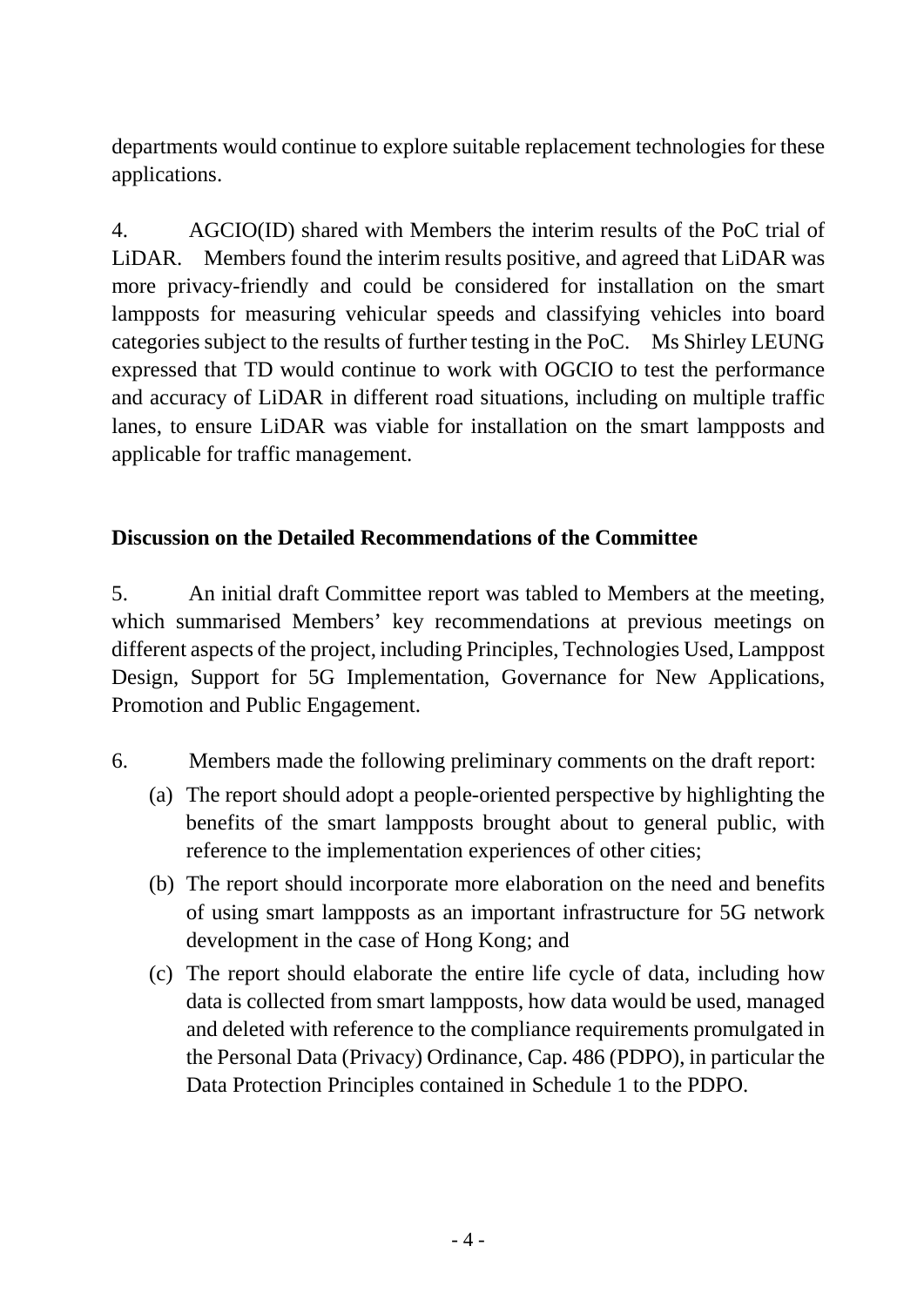departments would continue to explore suitable replacement technologies for these applications.

4. AGCIO(ID) shared with Members the interim results of the PoC trial of LiDAR. Members found the interim results positive, and agreed that LiDAR was more privacy-friendly and could be considered for installation on the smart lampposts for measuring vehicular speeds and classifying vehicles into board categories subject to the results of further testing in the PoC. Ms Shirley LEUNG expressed that TD would continue to work with OGCIO to test the performance and accuracy of LiDAR in different road situations, including on multiple traffic lanes, to ensure LiDAR was viable for installation on the smart lampposts and applicable for traffic management.

### **Discussion on the Detailed Recommendations of the Committee**

5. An initial draft Committee report was tabled to Members at the meeting, which summarised Members' key recommendations at previous meetings on different aspects of the project, including Principles, Technologies Used, Lamppost Design, Support for 5G Implementation, Governance for New Applications, Promotion and Public Engagement.

- 6. Members made the following preliminary comments on the draft report:
	- (a) The report should adopt a people-oriented perspective by highlighting the benefits of the smart lampposts brought about to general public, with reference to the implementation experiences of other cities;
	- (b) The report should incorporate more elaboration on the need and benefits of using smart lampposts as an important infrastructure for 5G network development in the case of Hong Kong; and
	- (c) The report should elaborate the entire life cycle of data, including how data is collected from smart lampposts, how data would be used, managed and deleted with reference to the compliance requirements promulgated in the Personal Data (Privacy) Ordinance, Cap. 486 (PDPO), in particular the Data Protection Principles contained in Schedule 1 to the PDPO.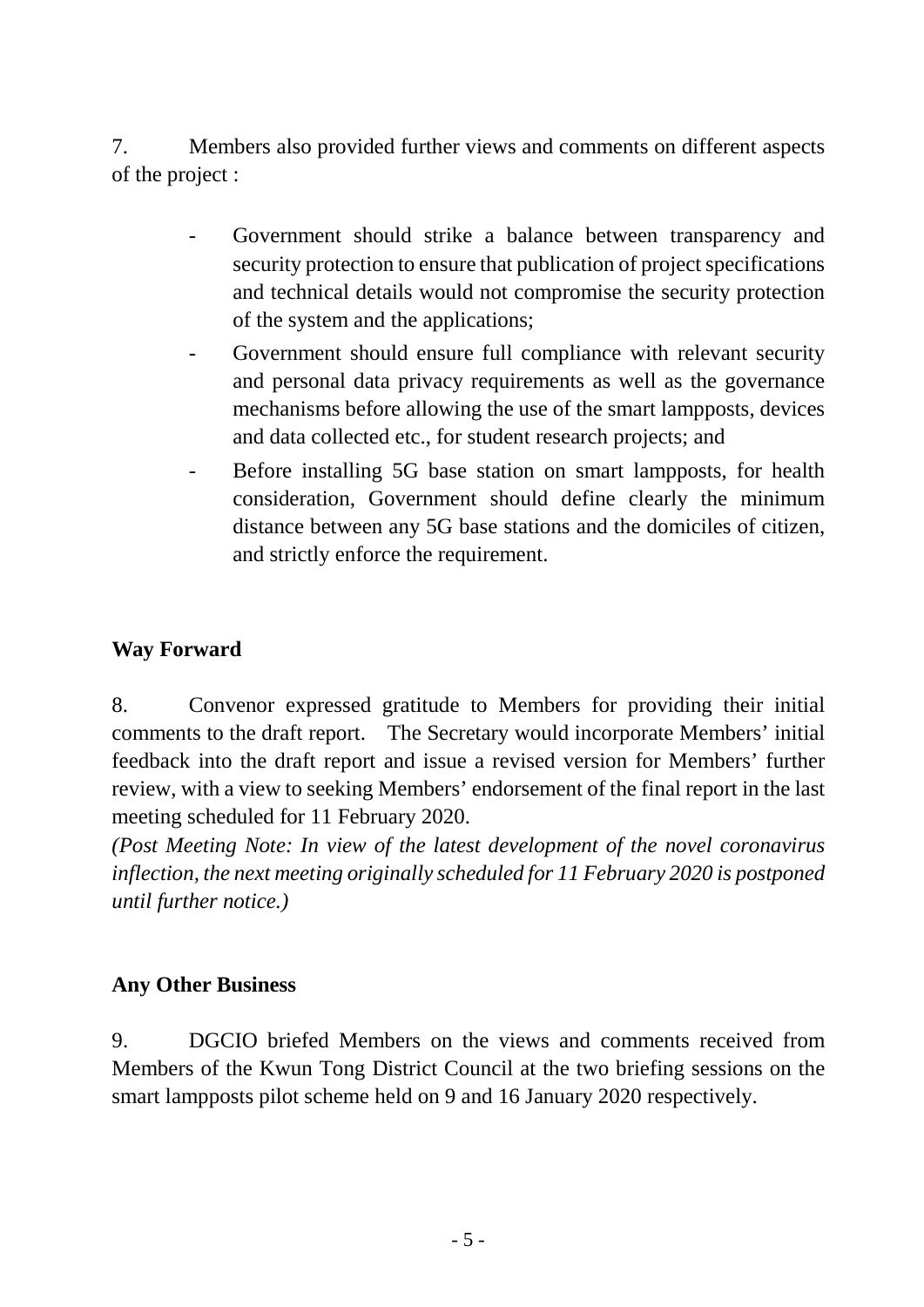7. Members also provided further views and comments on different aspects of the project :

- Government should strike a balance between transparency and security protection to ensure that publication of project specifications and technical details would not compromise the security protection of the system and the applications;
- Government should ensure full compliance with relevant security and personal data privacy requirements as well as the governance mechanisms before allowing the use of the smart lampposts, devices and data collected etc., for student research projects; and
- Before installing 5G base station on smart lampposts, for health consideration, Government should define clearly the minimum distance between any 5G base stations and the domiciles of citizen, and strictly enforce the requirement.

### **Way Forward**

8. Convenor expressed gratitude to Members for providing their initial comments to the draft report. The Secretary would incorporate Members' initial feedback into the draft report and issue a revised version for Members' further review, with a view to seeking Members' endorsement of the final report in the last meeting scheduled for 11 February 2020.

*(Post Meeting Note: In view of the latest development of the novel coronavirus inflection, the next meeting originally scheduled for 11 February 2020 is postponed until further notice.)*

#### **Any Other Business**

9. DGCIO briefed Members on the views and comments received from Members of the Kwun Tong District Council at the two briefing sessions on the smart lampposts pilot scheme held on 9 and 16 January 2020 respectively.